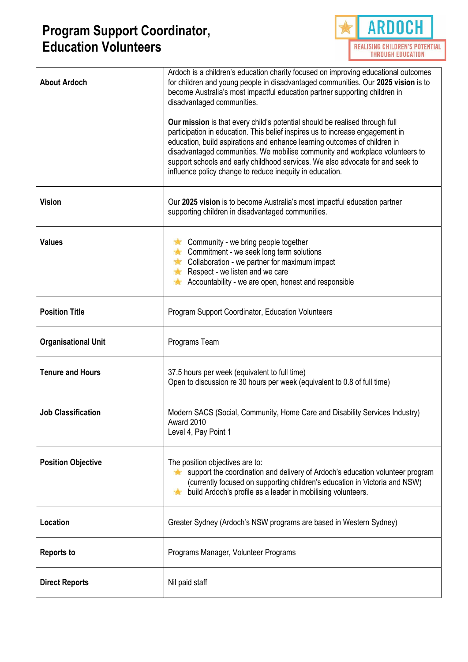

| <b>About Ardoch</b>        | Ardoch is a children's education charity focused on improving educational outcomes<br>for children and young people in disadvantaged communities. Our 2025 vision is to<br>become Australia's most impactful education partner supporting children in<br>disadvantaged communities.<br>Our mission is that every child's potential should be realised through full<br>participation in education. This belief inspires us to increase engagement in<br>education, build aspirations and enhance learning outcomes of children in<br>disadvantaged communities. We mobilise community and workplace volunteers to<br>support schools and early childhood services. We also advocate for and seek to<br>influence policy change to reduce inequity in education. |  |
|----------------------------|----------------------------------------------------------------------------------------------------------------------------------------------------------------------------------------------------------------------------------------------------------------------------------------------------------------------------------------------------------------------------------------------------------------------------------------------------------------------------------------------------------------------------------------------------------------------------------------------------------------------------------------------------------------------------------------------------------------------------------------------------------------|--|
| <b>Vision</b>              | Our 2025 vision is to become Australia's most impactful education partner<br>supporting children in disadvantaged communities.                                                                                                                                                                                                                                                                                                                                                                                                                                                                                                                                                                                                                                 |  |
| <b>Values</b>              | Community - we bring people together<br>Commitment - we seek long term solutions<br>Collaboration - we partner for maximum impact<br>Respect - we listen and we care<br>$\star$<br>Accountability - we are open, honest and responsible<br>$\star$                                                                                                                                                                                                                                                                                                                                                                                                                                                                                                             |  |
| <b>Position Title</b>      | Program Support Coordinator, Education Volunteers                                                                                                                                                                                                                                                                                                                                                                                                                                                                                                                                                                                                                                                                                                              |  |
| <b>Organisational Unit</b> | Programs Team                                                                                                                                                                                                                                                                                                                                                                                                                                                                                                                                                                                                                                                                                                                                                  |  |
| <b>Tenure and Hours</b>    | 37.5 hours per week (equivalent to full time)<br>Open to discussion re 30 hours per week (equivalent to 0.8 of full time)                                                                                                                                                                                                                                                                                                                                                                                                                                                                                                                                                                                                                                      |  |
| <b>Job Classification</b>  | Modern SACS (Social, Community, Home Care and Disability Services Industry)<br>Award 2010<br>Level 4, Pay Point 1                                                                                                                                                                                                                                                                                                                                                                                                                                                                                                                                                                                                                                              |  |
| <b>Position Objective</b>  | The position objectives are to:<br>support the coordination and delivery of Ardoch's education volunteer program<br>(currently focused on supporting children's education in Victoria and NSW)<br>build Ardoch's profile as a leader in mobilising volunteers.                                                                                                                                                                                                                                                                                                                                                                                                                                                                                                 |  |
| Location                   | Greater Sydney (Ardoch's NSW programs are based in Western Sydney)                                                                                                                                                                                                                                                                                                                                                                                                                                                                                                                                                                                                                                                                                             |  |
| <b>Reports to</b>          | Programs Manager, Volunteer Programs                                                                                                                                                                                                                                                                                                                                                                                                                                                                                                                                                                                                                                                                                                                           |  |
| <b>Direct Reports</b>      | Nil paid staff                                                                                                                                                                                                                                                                                                                                                                                                                                                                                                                                                                                                                                                                                                                                                 |  |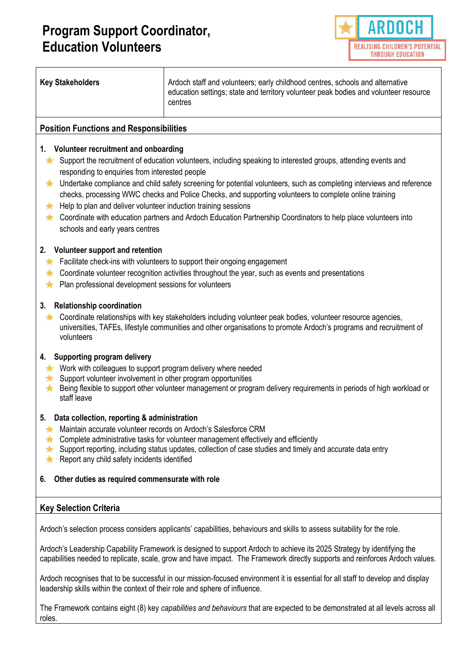

| <b>Key Stakeholders</b>                                                                                                                                                                                                                                                                                                                                                                                                                                                                                                                                                                                                                                                                                 | Ardoch staff and volunteers; early childhood centres, schools and alternative<br>education settings; state and territory volunteer peak bodies and volunteer resource<br>centres |  |  |
|---------------------------------------------------------------------------------------------------------------------------------------------------------------------------------------------------------------------------------------------------------------------------------------------------------------------------------------------------------------------------------------------------------------------------------------------------------------------------------------------------------------------------------------------------------------------------------------------------------------------------------------------------------------------------------------------------------|----------------------------------------------------------------------------------------------------------------------------------------------------------------------------------|--|--|
| <b>Position Functions and Responsibilities</b>                                                                                                                                                                                                                                                                                                                                                                                                                                                                                                                                                                                                                                                          |                                                                                                                                                                                  |  |  |
| 1. Volunteer recruitment and onboarding<br>Support the recruitment of education volunteers, including speaking to interested groups, attending events and<br>×<br>responding to enquiries from interested people<br>Undertake compliance and child safety screening for potential volunteers, such as completing interviews and reference<br>×<br>checks, processing WWC checks and Police Checks, and supporting volunteers to complete online training<br>Help to plan and deliver volunteer induction training sessions<br>$\star$<br>Coordinate with education partners and Ardoch Education Partnership Coordinators to help place volunteers into<br><b>TA</b><br>schools and early years centres |                                                                                                                                                                                  |  |  |
| 2. Volunteer support and retention<br>Facilitate check-ins with volunteers to support their ongoing engagement<br>×<br>Coordinate volunteer recognition activities throughout the year, such as events and presentations<br>×<br>Plan professional development sessions for volunteers<br>$\frac{1}{\sqrt{2}}$                                                                                                                                                                                                                                                                                                                                                                                          |                                                                                                                                                                                  |  |  |
| 3. Relationship coordination<br>Coordinate relationships with key stakeholders including volunteer peak bodies, volunteer resource agencies,<br>大<br>universities, TAFEs, lifestyle communities and other organisations to promote Ardoch's programs and recruitment of<br>volunteers                                                                                                                                                                                                                                                                                                                                                                                                                   |                                                                                                                                                                                  |  |  |
| 4. Supporting program delivery<br>Work with colleagues to support program delivery where needed<br>$\frac{1}{2}$<br>Support volunteer involvement in other program opportunities<br>$\frac{1}{\sqrt{2}}$<br>Being flexible to support other volunteer management or program delivery requirements in periods of high workload or<br>A<br>staff leave                                                                                                                                                                                                                                                                                                                                                    |                                                                                                                                                                                  |  |  |
| Data collection, reporting & administration<br>5.<br>Maintain accurate volunteer records on Ardoch's Salesforce CRM<br>₩<br>Complete administrative tasks for volunteer management effectively and efficiently<br>₩<br>Support reporting, including status updates, collection of case studies and timely and accurate data entry<br>大<br>Report any child safety incidents identified<br>×                                                                                                                                                                                                                                                                                                             |                                                                                                                                                                                  |  |  |
| Other duties as required commensurate with role<br>6.                                                                                                                                                                                                                                                                                                                                                                                                                                                                                                                                                                                                                                                   |                                                                                                                                                                                  |  |  |
| <b>Key Selection Criteria</b>                                                                                                                                                                                                                                                                                                                                                                                                                                                                                                                                                                                                                                                                           |                                                                                                                                                                                  |  |  |
| Ardoch's selection process considers applicants' capabilities, behaviours and skills to assess suitability for the role.                                                                                                                                                                                                                                                                                                                                                                                                                                                                                                                                                                                |                                                                                                                                                                                  |  |  |
| Ardoch's Leadership Capability Framework is designed to support Ardoch to achieve its 2025 Strategy by identifying the<br>capabilities needed to replicate, scale, grow and have impact. The Framework directly supports and reinforces Ardoch values.                                                                                                                                                                                                                                                                                                                                                                                                                                                  |                                                                                                                                                                                  |  |  |

Ardoch recognises that to be successful in our mission-focused environment it is essential for all staff to develop and display leadership skills within the context of their role and sphere of influence.

The Framework contains eight (8) key *capabilities and behaviours* that are expected to be demonstrated at all levels across all roles.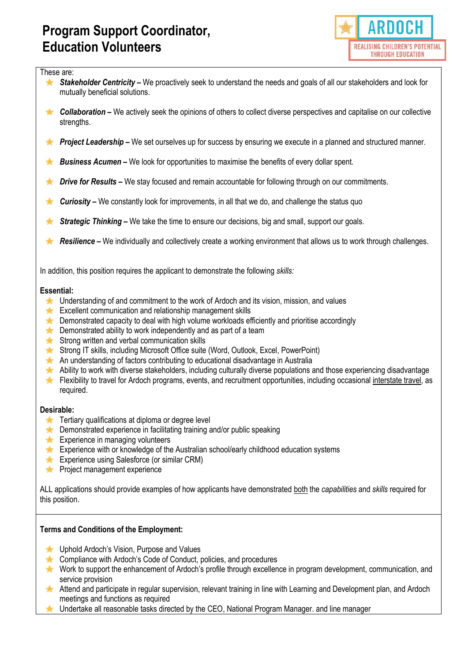

#### These are:

- $\frac{1}{\sqrt{2}}$ *Stakeholder Centricity –* We proactively seek to understand the needs and goals of all our stakeholders and look for mutually beneficial solutions.
- **★** Collaboration We actively seek the opinions of others to collect diverse perspectives and capitalise on our collective strengths.
- **Project Leadership –** We set ourselves up for success by ensuring we execute in a planned and structured manner.
- *Business Acumen* We look for opportunities to maximise the benefits of every dollar spent.
- *Drive for Results –* We stay focused and remain accountable for following through on our commitments. **TAT**
- **Curiosity –** We constantly look for improvements, in all that we do, and challenge the status quo **TA**
- \* *Strategic Thinking –* We take the time to ensure our decisions, big and small, support our goals.
- *Resilience –* We individually and collectively create a working environment that allows us to work through challenges.  $\frac{1}{\sqrt{2}}$

In addition, this position requires the applicant to demonstrate the following *skills:*

#### **Essential:**

- Understanding of and commitment to the work of Ardoch and its vision, mission, and values
- Excellent communication and relationship management skills
- **EX** Demonstrated capacity to deal with high volume workloads efficiently and prioritise accordingly
- $\star$  Demonstrated ability to work independently and as part of a team
- $\star$  Strong written and verbal communication skills
- Strong IT skills, including Microsoft Office suite (Word, Outlook, Excel, PowerPoint)
- An understanding of factors contributing to educational disadvantage in Australia
- Ability to work with diverse stakeholders, including culturally diverse populations and those experiencing disadvantage
- Flexibility to travel for Ardoch programs, events, and recruitment opportunities, including occasional interstate travel, as required.

### **Desirable:**

- $\star$  Tertiary qualifications at diploma or degree level
- $\star$  Demonstrated experience in facilitating training and/or public speaking
- $\star$  Experience in managing volunteers
- Experience with or knowledge of the Australian school/early childhood education systems
- **Experience using Salesforce (or similar CRM)**
- **A** Project management experience

ALL applications should provide examples of how applicants have demonstrated both the *capabilities* and *skills* required for this position.

### **Terms and Conditions of the Employment:**

- **★** Uphold Ardoch's Vision, Purpose and Values
- **EX** Compliance with Ardoch's Code of Conduct, policies, and procedures
- Work to support the enhancement of Ardoch's profile through excellence in program development, communication, and service provision
- Attend and participate in regular supervision, relevant training in line with Learning and Development plan, and Ardoch meetings and functions as required
- Undertake all reasonable tasks directed by the CEO, National Program Manager. and line manager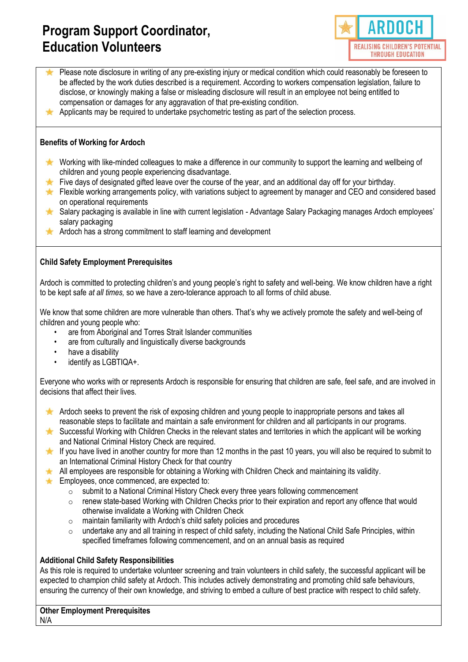

- Please note disclosure in writing of any pre-existing injury or medical condition which could reasonably be foreseen to be affected by the work duties described is a requirement. According to workers compensation legislation, failure to disclose, or knowingly making a false or misleading disclosure will result in an employee not being entitled to compensation or damages for any aggravation of that pre-existing condition.
- Applicants may be required to undertake psychometric testing as part of the selection process.

### **Benefits of Working for Ardoch**

- Working with like-minded colleagues to make a difference in our community to support the learning and wellbeing of children and young people experiencing disadvantage.
- Five days of designated gifted leave over the course of the year, and an additional day off for your birthday.
- **Flexible working arrangements policy, with variations subject to agreement by manager and CEO and considered based** on operational requirements
- $\bigstar$ Salary packaging is available in line with current legislation - Advantage Salary Packaging manages Ardoch employees' salary packaging
- Ardoch has a strong commitment to staff learning and development

### **Child Safety Employment Prerequisites**

Ardoch is committed to protecting children's and young people's right to safety and well-being. We know children have a right to be kept safe *at all times,* so we have a zero-tolerance approach to all forms of child abuse.

We know that some children are more vulnerable than others. That's why we actively promote the safety and well-being of children and young people who:

- are from Aboriginal and Torres Strait Islander communities
- are from culturally and linguistically diverse backgrounds
- have a disability
- identify as LGBTIQA+.

Everyone who works with or represents Ardoch is responsible for ensuring that children are safe, feel safe, and are involved in decisions that affect their lives.

- Ardoch seeks to prevent the risk of exposing children and young people to inappropriate persons and takes all reasonable steps to facilitate and maintain a safe environment for children and all participants in our programs.
- Successful Working with Children Checks in the relevant states and territories in which the applicant will be working **The Contract of Street** and National Criminal History Check are required.
- If you have lived in another country for more than 12 months in the past 10 years, you will also be required to submit to an International Criminal History Check for that country
- All employees are responsible for obtaining a Working with Children Check and maintaining its validity.
- Employees, once commenced, are expected to:
	- o submit to a National Criminal History Check every three years following commencement
	- $\circ$  renew state-based Working with Children Checks prior to their expiration and report any offence that would otherwise invalidate a Working with Children Check
	- $\circ$  maintain familiarity with Ardoch's child safety policies and procedures
	- $\circ$  undertake any and all training in respect of child safety, including the National Child Safe Principles, within specified timeframes following commencement, and on an annual basis as required

### **Additional Child Safety Responsibilities**

As this role is required to undertake volunteer screening and train volunteers in child safety, the successful applicant will be expected to champion child safety at Ardoch. This includes actively demonstrating and promoting child safe behaviours, ensuring the currency of their own knowledge, and striving to embed a culture of best practice with respect to child safety.

**Other Employment Prerequisites**

N/A